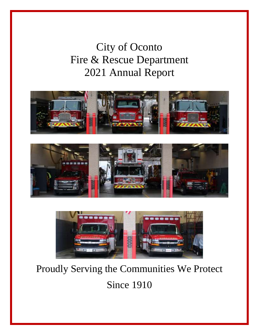# City of Oconto Fire & Rescue Department 2021 Annual Report







# Proudly Serving the Communities We Protect

Since 1910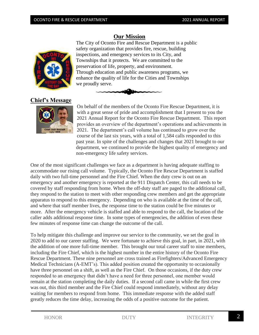#### **Our Mission**

The City of Oconto Fire and Rescue Department is a public safety organization that provides fire, rescue, building inspections, and emergency services to its City, and Townships that it protects. We are committed to the preservation of life, property, and environment. Through education and public awareness programs, we enhance the quality of life for the Cities and Townships we proudly serve.



**Chief's Message**



On behalf of the members of the Oconto Fire Rescue Department, it is with a great sense of pride and accomplishment that I present to you the 2021 Annual Report for the Oconto Fire Rescue Department. This report provides an overview of the department's operations and achievements in 2021. The department's call volume has continued to grow over the course of the last six years, with a total of 1,584 calls responded to this past year. In spite of the challenges and changes that 2021 brought to our department, we continued to provide the highest quality of emergency and non-emergency life safety services.

One of the most significant challenges we face as a department is having adequate staffing to accommodate our rising call volume. Typically, the Oconto Fire Rescue Department is staffed daily with two full-time personnel and the Fire Chief. When the duty crew is out on an emergency and another emergency is reported at the 911 Dispatch Center, this call needs to be covered by staff responding from home. When the off-duty staff are paged to the additional call, they respond to the station to meet with other responding crew members and get the appropriate apparatus to respond to this emergency. Depending on who is available at the time of the call, and where that staff member lives, the response time to the station could be five minutes or more. After the emergency vehicle is staffed and able to respond to the call, the location of the caller adds additional response time. In some types of emergencies, the addition of even these few minutes of response time can change the outcome of the call.

To help mitigate this challenge and improve our service to the community, we set the goal in 2020 to add to our career staffing. We were fortunate to achieve this goal, in part, in 2021, with the addition of one more full-time member. This brought our total career staff to nine members, including the Fire Chief, which is the highest number in the entire history of the Oconto Fire Rescue Department. These nine personnel are cross trained as Firefighters/Advanced Emergency Medical Technicians (A-EMT's). This added position created the opportunity to occasionally have three personnel on a shift, as well as the Fire Chief. On those occasions, if the duty crew responded to an emergency that didn't have a need for three personnel, one member would remain at the station completing the daily duties. If a second call came in while the first crew was out, this third member and the Fire Chief could respond immediately, without any delay waiting for members to respond from home. This immediate response with the added staff greatly reduces the time delay, increasing the odds of a positive outcome for the patient.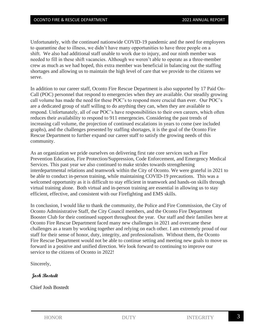Unfortunately, with the continued nationwide COVID-19 pandemic and the need for employees to quarantine due to illness, we didn't have many opportunities to have three people on a shift. We also had additional staff unable to work due to injury, and our ninth member was needed to fill in these shift vacancies. Although we weren't able to operate as a three-member crew as much as we had hoped, this extra member was beneficial in balancing out the staffing shortages and allowing us to maintain the high level of care that we provide to the citizens we serve.

In addition to our career staff, Oconto Fire Rescue Department is also supported by 17 Paid On-Call (POC) personnel that respond to emergencies when they are available. Our steadily growing call volume has made the need for these POC's to respond more crucial than ever. Our POC's are a dedicated group of staff willing to do anything they can, when they are available to respond. Unfortunately, all of our POC's have responsibilities to their own careers, which often reduces their availability to respond to 911 emergencies. Considering the past trends of increasing call volume, the projection of continued escalations in years to come (see included graphs), and the challenges presented by staffing shortages, it is the goal of the Oconto Fire Rescue Department to further expand our career staff to satisfy the growing needs of this community.

As an organization we pride ourselves on delivering first rate core services such as Fire Prevention Education, Fire Protection/Suppression, Code Enforcement, and Emergency Medical Services. This past year we also continued to make strides towards strengthening interdepartmental relations and teamwork within the City of Oconto. We were grateful in 2021 to be able to conduct in-person training, while maintaining COVID-19 precautions. This was a welcomed opportunity as it is difficult to stay efficient in teamwork and hands-on skills through virtual training alone. Both virtual and in-person training are essential in allowing us to stay efficient, effective, and consistent with our Firefighting and EMS skills.

In conclusion, I would like to thank the community, the Police and Fire Commission, the City of Oconto Administrative Staff, the City Council members, and the Oconto Fire Department Booster Club for their continued support throughout the year. Our staff and their families here at Oconto Fire Rescue Department faced many new challenges in 2021 and overcame these challenges as a team by working together and relying on each other. I am extremely proud of our staff for their sense of honor, duty, integrity, and professionalism. Without them, the Oconto Fire Rescue Department would not be able to continue setting and meeting new goals to move us forward in a positive and unified direction. We look forward to continuing to improve our service to the citizens of Oconto in 2022!

Sincerely,

#### **Josh Bostedt**

Chief Josh Bostedt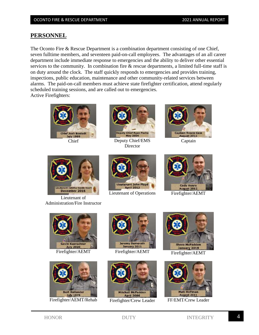#### **PERSONNEL**

The Oconto Fire & Rescue Department is a combination department consisting of one Chief, seven fulltime members, and seventeen paid-on-call employees. The advantages of an all career department include immediate response to emergencies and the ability to deliver other essential services to the community. In combination fire  $\&$  rescue departments, a limited full-time staff is on duty around the clock. The staff quickly responds to emergencies and provides training, inspections, public education, maintenance and other community-related services between alarms. The paid-on-call members must achieve state firefighter certification, attend regularly scheduled training sessions, and are called out to emergencies. Active Firefighters:





Chief Deputy Chief/EMS Director



December 2016

Lieutenant of Administration/Fire Instructor



Lieutenant of Operations Firefighter/AEMT







Firefighter/AEMT/Rehab Firefighter/Crew Leader FF/EMT/Crew Leader







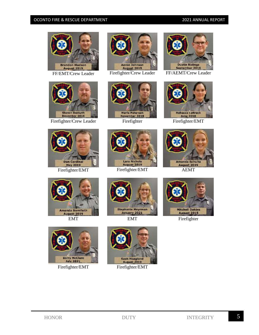



Firefighter/Crew Leader Firefighter Firefighter Firefighter/EMT











**Rebecca LeBreck June 2018** 













Firefighter/EMT Firefighter/EMT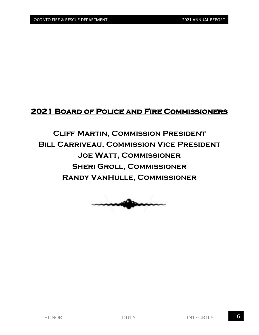### **2021 Board of Police and Fire Commissioners**

## **Cliff Martin, Commission President Bill Carriveau, Commission Vice President Joe Watt, Commissioner Sheri Groll, Commissioner Randy VanHulle, Commissioner**

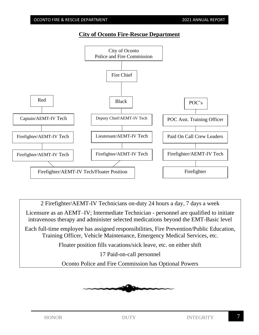Firefighter/AEMT-IV Tech

Firefighter/AEMT-IV Tech

2 Firefighter/AEMT-IV Technicians on-duty 24 hours a day, 7 days a week

Licensure as an AEMT–IV; Intermediate Technician - personnel are qualified to initiate intravenous therapy and administer selected medications beyond the EMT-Basic level

Each full-time employee has assigned responsibilities, Fire Prevention/Public Education, Training Officer, Vehicle Maintenance, Emergency Medical Services, etc.

Floater position fills vacations/sick leave, etc. on either shift

17 Paid-on-call personnel

Oconto Police and Fire Commission has Optional Powers





Lieutenant/AEMT-IV Tech

Firefighter/AEMT-IV Tech

Firefighter/AEMT-IV Tech/Floater Position | Firefighter

**City of Oconto Fire-Rescue Department** 

#### OCONTO FIRE & RESCUE DEPARTMENT THE CONTO FIRE & RESCUE DEPARTMENT

Firefighter/AEMT-IV Tech

Paid On Call Crew Leaders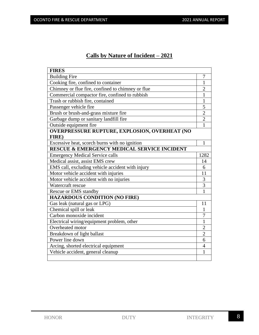#### **Calls by Nature of Incident – 2021**

| <b>FIRES</b>                                           |                |
|--------------------------------------------------------|----------------|
| <b>Building Fire</b>                                   | 7              |
| Cooking fire, confined to container                    | $\mathbf{1}$   |
| Chimney or flue fire, confined to chimney or flue      | $\overline{2}$ |
| Commercial compactor fire, confined to rubbish         | 1              |
| Trash or rubbish fire, contained                       | 1              |
| Passenger vehicle fire                                 | 5              |
| Brush or brush-and-grass mixture fire                  | $\overline{2}$ |
| Garbage dump or sanitary landfill fire                 | $\overline{2}$ |
| Outside equipment fire                                 | 1              |
| <b>OVERPRESSURE RUPTURE, EXPLOSION, OVERHEAT (NO</b>   |                |
| FIRE)                                                  |                |
| Excessive heat, scorch burns with no ignition          | 1              |
| <b>RESCUE &amp; EMERGENCY MEDICAL SERVICE INCIDENT</b> |                |
| <b>Emergency Medical Service calls</b>                 | 1282           |
| Medical assist, assist EMS crew                        | 14             |
| EMS call, excluding vehicle accident with injury       | 6              |
| Motor vehicle accident with injuries                   | 11             |
| Motor vehicle accident with no injuries                | 3              |
| Watercraft rescue                                      | $\overline{3}$ |
| <b>Rescue or EMS standby</b>                           | $\mathbf{1}$   |
| <b>HAZARDOUS CONDITION (NO FIRE)</b>                   |                |
| Gas leak (natural gas or LPG)                          | 11             |
| Chemical spill or leak                                 | 1              |
| Carbon monoxide incident                               | 7              |
| Electrical wiring/equipment problem, other             | $\mathbf{1}$   |
| Overheated motor                                       | $\overline{2}$ |
| Breakdown of light ballast                             | $\overline{2}$ |
| Power line down                                        | 6              |
| Arcing, shorted electrical equipment                   | $\overline{4}$ |
| Vehicle accident, general cleanup                      | 1              |
|                                                        |                |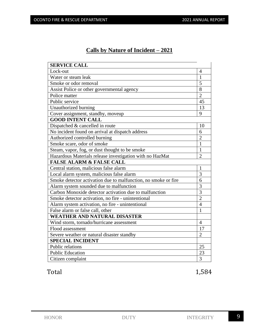#### **Calls by Nature of Incident – 2021**

| <b>SERVICE CALL</b>                                            |                |
|----------------------------------------------------------------|----------------|
| Lock-out                                                       | 4              |
| Water or steam leak                                            | $\mathbf{1}$   |
| Smoke or odor removal                                          | 5              |
| Assist Police or other governmental agency                     | 8              |
| Police matter                                                  | $\overline{2}$ |
| Public service                                                 | 45             |
| Unauthorized burning                                           | 13             |
| Cover assignment, standby, moveup                              | 9              |
| <b>GOOD INTENT CALL</b>                                        |                |
| Dispatched & cancelled in route                                | 10             |
| No incident found on arrival at dispatch address               | 6              |
| Authorized controlled burning                                  | $\overline{2}$ |
| Smoke scare, odor of smoke                                     | $\mathbf{1}$   |
| Steam, vapor, fog, or dust thought to be smoke                 | $\mathbf{1}$   |
| Hazardous Materials release investigation with no HazMat       | $\overline{2}$ |
| <b>FALSE ALARM &amp; FALSE CALL</b>                            |                |
| Central station, malicious false alarm                         | $\mathbf{1}$   |
| Local alarm system, malicious false alarm                      | $\overline{3}$ |
| Smoke detector activation due to malfunction, no smoke or fire | 6              |
| Alarm system sounded due to malfunction                        | $\overline{3}$ |
| Carbon Monoxide detector activation due to malfunction         | 3              |
| Smoke detector activation, no fire - unintentional             | $\overline{2}$ |
| Alarm system activation, no fire - unintentional               | $\overline{4}$ |
| False alarm or false call, other                               | $\mathbf{1}$   |
| <b>WEATHER AND NATURAL DISASTER</b>                            |                |
| Wind storm, tornado/hurricane assessment                       | $\overline{4}$ |
| Flood assessment                                               | 17             |
| Severe weather or natural disaster standby                     | $\overline{2}$ |
| <b>SPECIAL INCIDENT</b>                                        |                |
| Public relations                                               | 25             |
| <b>Public Education</b>                                        | 23             |
| Citizen complaint                                              | 3              |

Total 1,584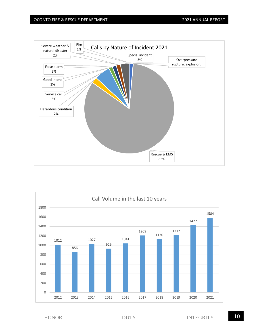

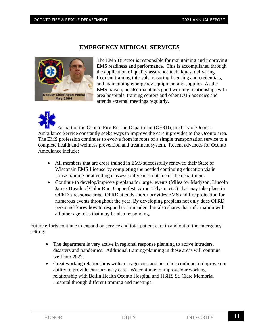#### **EMERGENCY MEDICAL SERVICES**



The EMS Director is responsible for maintaining and improving EMS readiness and performance. This is accomplished through the application of quality assurance techniques, delivering frequent training intervals, ensuring licensing and credentials, and maintaining emergency equipment and supplies. As the EMS liaison, he also maintains good working relationships with area hospitals, training centers and other EMS agencies and attends external meetings regularly.

As part of the Oconto Fire-Rescue Department (OFRD), the City of Oconto Ambulance Service constantly seeks ways to improve the care it provides to the Oconto area. The EMS profession continues to evolve from its roots of a simple transportation service to a complete health and wellness prevention and treatment system. Recent advances for Oconto Ambulance include:

- All members that are cross trained in EMS successfully renewed their State of Wisconsin EMS License by completing the needed continuing education via in house training or attending classes/conferences outside of the department.
- Continue to develop/improve preplans for larger events (Miles for Madyson, Lincoln James Breath of Color Run, Copperfest, Airport Fly-in, etc.) that may take place in OFRD's response area. OFRD attends and/or provides EMS and fire protection for numerous events throughout the year. By developing preplans not only does OFRD personnel know how to respond to an incident but also shares that information with all other agencies that may be also responding.

Future efforts continue to expand on service and total patient care in and out of the emergency setting:

- The department is very active in regional response planning to active intruders, disasters and pandemics. Additional training/planning in these areas will continue well into 2022.
- Great working relationships with area agencies and hospitals continue to improve our ability to provide extraordinary care. We continue to improve our working relationship with Bellin Health Oconto Hospital and HSHS St. Clare Memorial Hospital through different training and meetings.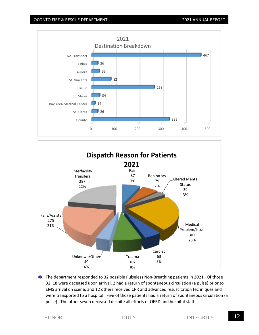



\* The department responded to 32 possible Pulseless Non-Breathing patients in 2021. Of those 32, 18 were deceased upon arrival, 2 had a return of spontaneous circulation (a pulse) prior to EMS arrival on scene, and 12 others received CPR and advanced resuscitation techniques and were transported to a hospital. Five of those patients had a return of spontaneous circulation (a pulse). The other seven deceased despite all efforts of OFRD and hospital staff.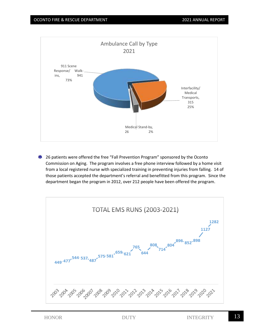

**\*** 26 patients were offered the free "Fall Prevention Program" sponsored by the Oconto Commission on Aging. The program involves a free phone interview followed by a home visit from a local registered nurse with specialized training in preventing injuries from falling. 14 of those patients accepted the department's referral and benefitted from this program. Since the department began the program in 2012, over 212 people have been offered the program.

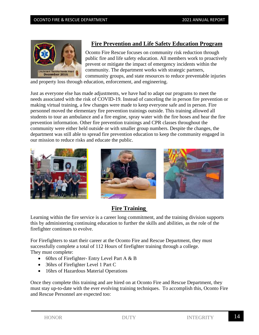

#### **Fire Prevention and Life Safety Education Program**

Oconto Fire Rescue focuses on community risk reduction through public fire and life safety education. All members work to proactively prevent or mitigate the impact of emergency incidents within the community. The department works with strategic partners, community groups, and state resources to reduce preventable injuries

and property loss through education, enforcement, and engineering.

Just as everyone else has made adjustments, we have had to adapt our programs to meet the needs associated with the risk of COVID-19. Instead of canceling the in person fire prevention or making virtual training, a few changes were made to keep everyone safe and in person. Fire personnel moved the elementary fire prevention trainings outside. This training allowed all students to tour an ambulance and a fire engine, spray water with the fire hoses and hear the fire prevention information. Other fire prevention trainings and CPR classes throughout the community were either held outside or with smaller group numbers. Despite the changes, the department was still able to spread fire prevention education to keep the community engaged in our mission to reduce risks and educate the public.







#### **Fire Training**

Learning within the fire service is a career long commitment, and the training division supports this by administering continuing education to further the skills and abilities, as the role of the firefighter continues to evolve.

For Firefighters to start their career at the Oconto Fire and Rescue Department, they must successfully complete a total of 112 Hours of firefighter training through a college. They must complete:

- 60hrs of Firefighter- Entry Level Part A & B
- 36hrs of Firefighter Level 1 Part C
- 16hrs of Hazardous Material Operations

Once they complete this training and are hired on at Oconto Fire and Rescue Department, they must stay up-to-date with the ever evolving training techniques. To accomplish this, Oconto Fire and Rescue Personnel are expected too: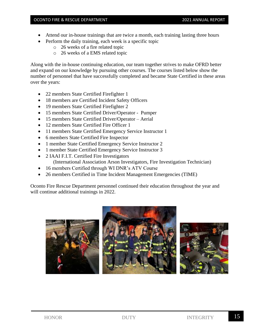#### OCONTO FIRE & RESCUE DEPARTMENT THE REPORT COLLECTED ANNUAL REPORT

- Attend our in-house trainings that are twice a month, each training lasting three hours
	- Perform the daily training, each week is a specific topic
		- o 26 weeks of a fire related topic
		- o 26 weeks of a EMS related topic

Along with the in-house continuing education, our team together strives to make OFRD better and expand on our knowledge by pursuing other courses. The courses listed below show the number of personnel that have successfully completed and became State Certified in these areas over the years:

- 22 members State Certified Firefighter 1
- 18 members are Certified Incident Safety Officers
- 19 members State Certified Firefighter 2
- 15 members State Certified Driver/Operator Pumper
- 15 members State Certified Driver/Operator Aerial
- 12 members State Certified Fire Officer 1
- 11 members State Certified Emergency Service Instructor 1
- 6 members State Certified Fire Inspector
- 1 member State Certified Emergency Service Instructor 2
- 1 member State Certified Emergency Service Instructor 3
- 2 IAAI F.I.T. Certified Fire Investigators (International Association Arson Investigators, Fire Investigation Technician)
- 16 members Certified through WI DNR's ATV Course
- 26 members Certified in Time Incident Management Emergencies (TIME)

Oconto Fire Rescue Department personnel continued their education throughout the year and will continue additional trainings in 2022.

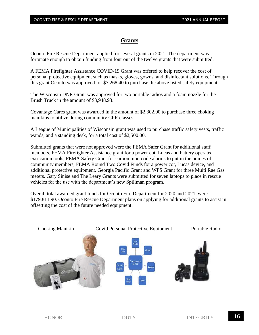#### **Grants**

Oconto Fire Rescue Department applied for several grants in 2021. The department was fortunate enough to obtain funding from four out of the twelve grants that were submitted.

A FEMA Firefighter Assistance COVID-19 Grant was offered to help recover the cost of personal protective equipment such as masks, gloves, gowns, and disinfectant solutions. Through this grant Oconto was approved for \$7,268.40 to purchase the above listed safety equipment.

The Wisconsin DNR Grant was approved for two portable radios and a foam nozzle for the Brush Truck in the amount of \$3,948.93.

Covantage Cares grant was awarded in the amount of \$2,302.00 to purchase three choking manikins to utilize during community CPR classes.

A League of Municipalities of Wisconsin grant was used to purchase traffic safety vests, traffic wands, and a standing desk, for a total cost of \$2,500.00.

Submitted grants that were not approved were the FEMA Safer Grant for additional staff members, FEMA Firefighter Assistance grant for a power cot, Lucas and battery operated extrication tools, FEMA Safety Grant for carbon monoxide alarms to put in the homes of community members, FEMA Round Two Covid Funds for a power cot, Lucas device, and additional protective equipment. Georgia Pacific Grant and WPS Grant for three Multi Rae Gas meters. Gary Sinise and The Leary Grants were submitted for seven laptops to place in rescue vehicles for the use with the department's new Spillman program.

Overall total awarded grant funds for Oconto Fire Department for 2020 and 2021, were \$179,811.90. Oconto Fire Rescue Department plans on applying for additional grants to assist in offsetting the cost of the future needed equipment.

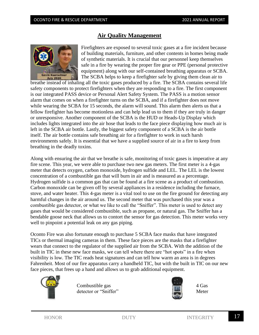#### **Air Quality Management**



Firefighters are exposed to several toxic gases at a fire incident because of building materials, furniture, and other contents in homes being made of synthetic materials. It is crucial that our personnel keep themselves safe in a fire by wearing the proper fire gear or PPE (personal protective equipment) along with our self-contained breathing apparatus or SCBA. The SCBA helps to keep a firefighter safe by giving them clean air to

breathe instead of inhaling all the toxic gases produced by a fire. The SCBA contains several life safety components to protect firefighters when they are responding to a fire. The first component is our integrated PASS device or Personal Alert Safety System. The PASS is a motion sensor alarm that comes on when a firefighter turns on the SCBA, and if a firefighter does not move while wearing the SCBA for 15 seconds, the alarm will sound. This alarm then alerts us that a fellow firefighter has become motionless and can help lead us to them if they are truly in danger or unresponsive. Another component of the SCBA is the HUD or Heads-Up Display which includes lights integrated into the air hose that leads to the face piece displaying how much air is left in the SCBA air bottle. Lastly, the biggest safety component of a SCBA is the air bottle itself. The air bottle contains safe breathing air for a firefighter to work in such harsh environments safely. It is essential that we have a supplied source of air in a fire to keep from breathing in the deadly toxins.

Along with ensuring the air that we breathe is safe, monitoring of toxic gases is imperative at any fire scene. This year, we were able to purchase two new gas meters. The first meter is a 4-gas meter that detects oxygen, carbon monoxide, hydrogen sulfide and LEL. The LEL is the lowest concentration of a combustible gas that will burn in air and is measured as a percentage. Hydrogen sulfide is a common gas that can be found at a fire scene as a product of combustion. Carbon monoxide can be given off by several appliances in a residence including the furnace, stove, and water heater. This 4-gas meter is a vital tool to use on the fire ground for detecting any harmful changes in the air around us. The second meter that was purchased this year was a combustible gas detector, or what we like to call the "Sniffer". This meter is used to detect any gases that would be considered combustible, such as propane, or natural gas. The Sniffer has a bendable goose neck that allows us to contort the sensor for gas detection. This meter works very well to pinpoint a potential leak on any gas piping.

Oconto Fire was also fortunate enough to purchase 5 SCBA face masks that have integrated TICs or thermal imaging cameras in them. These face pieces are the masks that a firefighter wears that connect to the regulator of the supplied air from the SCBA. With the addition of the built in TIC in these new face masks, we can tell where there are "hot spots" in a fire when visibility is low. The TIC reads heat signatures and can tell how warm an area is in degrees Fahrenheit. Most of our fire apparatus carry a handheld TIC, but with the built in TIC on our new face pieces, that frees up a hand and allows us to grab additional equipment.



Combustible gas detector or "Sniffer"



4 Gas Meter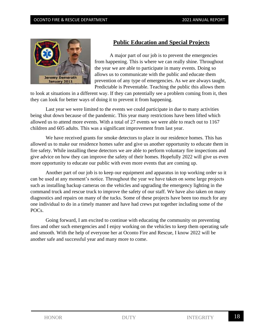

#### **Public Education and Special Projects**

A major part of our job is to prevent the emergencies from happening. This is where we can really shine. Throughout the year we are able to participate in many events. Doing so allows us to communicate with the public and educate them prevention of any type of emergencies. As we are always taught, Predictable is Preventable. Teaching the public this allows them

to look at situations in a different way. If they can potentially see a problem coming from it, then they can look for better ways of doing it to prevent it from happening.

Last year we were limited to the events we could participate in due to many activities being shut down because of the pandemic. This year many restrictions have been lifted which allowed us to attend more events. With a total of 27 events we were able to reach out to 1167 children and 605 adults. This was a significant improvement from last year.

We have received grants for smoke detectors to place in our residence homes. This has allowed us to make our residence homes safer and give us another opportunity to educate them in fire safety. While installing these detectors we are able to perform voluntary fire inspections and give advice on how they can improve the safety of their homes. Hopefully 2022 will give us even more opportunity to educate our public with even more events that are coming up.

Another part of our job is to keep our equipment and apparatus in top working order so it can be used at any moment's notice. Throughout the year we have taken on some large projects such as installing backup cameras on the vehicles and upgrading the emergency lighting in the command truck and rescue truck to improve the safety of our staff. We have also taken on many diagnostics and repairs on many of the tucks. Some of these projects have been too much for any one individual to do in a timely manner and have had crews put together including some of the POCs.

Going forward, I am excited to continue with educating the community on preventing fires and other such emergencies and I enjoy working on the vehicles to keep them operating safe and smooth. With the help of everyone her at Oconto Fire and Rescue, I know 2022 will be another safe and successful year and many more to come.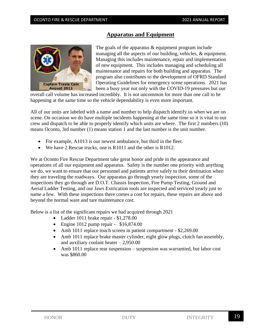#### **Apparatus and Equipment**



The goals of the apparatus & equipment program include managing all the aspects of our building, vehicles, & equipment. Managing this includes maintenance, repair and implementation of new equipment. This includes managing and scheduling all maintenance and repairs for both building and apparatus. The program also contributes to the development of OFRD Standard Operating Guidelines for emergency scene operations. 2021 has been a busy year not only with the COVID-19 pressures but our

overall call volume has increased incredibly. It is not uncommon for more than one call to be happening at the same time so the vehicle dependability is even more important.

All of our units are labeled with a name and number to help dispatch identify us when we are on scene. On occasion we do have multiple incidents happening at the same time so it is vital to our crew and dispatch to be able to properly identify which units are where. The first 2 numbers (10) means Oconto, 3rd number (1) means station 1 and the last number is the unit number.

- For example, A1013 is our newest ambulance, but third in the fleet.
- We have 2 Rescue trucks, one is R1011 and the other is R1012.

We at Oconto Fire Rescue Department take great honor and pride in the appearance and operations of all our equipment and apparatus. Safety is the number one priority with anything we do, we want to ensure that our personnel and patients arrive safely to their destination when they are traveling the roadways. Our apparatus go through yearly inspection, some of the inspections they go through are D.O.T. Chassis Inspection, Fire Pump Testing, Ground and Aerial Ladder Testing, and our Jaws Extrication tools are inspected and serviced yearly just to name a few. With these inspections there comes a cost for repairs, these repairs are above and beyond the normal ware and tare maintenance cost.

Below is a list of the significant repairs we had acquired through 2021

- Ladder 1011 brake repair \$1,278.00
- Engine 1012 pump repair \$16,874.00
- Amb 1011 replace touch screen in patient compartment \$2,269.00
- Amb 1011 replace brake master cylinder, eight glow plugs, clutch fan assembly, and auxiliary coolant heater  $-2,950.00$
- Amb 1011 replace rear suspension suspension was warrantied, but labor cost was \$860.00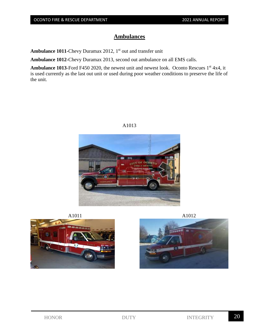#### **Ambulances**

**Ambulance 1011-Chevy Duramax 2012, 1st out and transfer unit** 

**Ambulance 1012-**Chevy Duramax 2013, second out ambulance on all EMS calls.

Ambulance 1013-Ford F450 2020, the newest unit and newest look. Oconto Rescues 1<sup>st</sup> 4x4, it is used currently as the last out unit or used during poor weather conditions to preserve the life of the unit.





A1011 A1012



A1013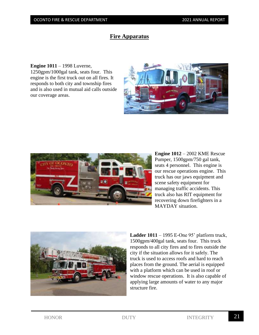#### **Fire Apparatus**

**Engine 1011** – 1998 Luverne, 1250gpm/1000gal tank, seats four. This engine is the first truck out on all fires. It responds to both city and township fires and is also used in mutual aid calls outside our coverage areas.





**Engine 1012** – 2002 KME Rescue Pumper, 1500gpm/750 gal tank, seats 4 personnel. This engine is our rescue operations engine. This truck has our jaws equipment and scene safety equipment for managing traffic accidents. This truck also has RIT equipment for recovering down firefighters in a MAYDAY situation.



**Ladder 1011** – 1995 E-One 95' platform truck, 1500gpm/400gal tank, seats four. This truck responds to all city fires and to fires outside the city if the situation allows for it safely. The truck is used to access roofs and hard to reach places from the ground. The aerial is equipped with a platform which can be used in roof or window rescue operations. It is also capable of applying large amounts of water to any major structure fire.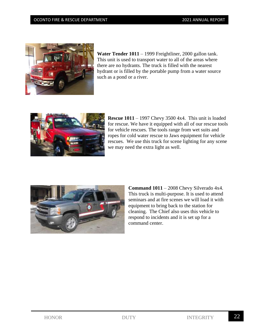#### OCONTO FIRE & RESCUE DEPARTMENT **1999 1201 ANNUAL REPORT**



**Water Tender 1011** – 1999 Freightliner, 2000 gallon tank. This unit is used to transport water to all of the areas where there are no hydrants. The truck is filled with the nearest hydrant or is filled by the portable pump from a water source such as a pond or a river.



**Rescue 1011** – 1997 Chevy 3500 4x4. This unit is loaded for rescue. We have it equipped with all of our rescue tools for vehicle rescues. The tools range from wet suits and ropes for cold water rescue to Jaws equipment for vehicle rescues. We use this truck for scene lighting for any scene we may need the extra light as well.



**Command 1011** – 2008 Chevy Silverado 4x4. This truck is multi-purpose. It is used to attend seminars and at fire scenes we will load it with equipment to bring back to the station for cleaning. The Chief also uses this vehicle to respond to incidents and it is set up for a command center.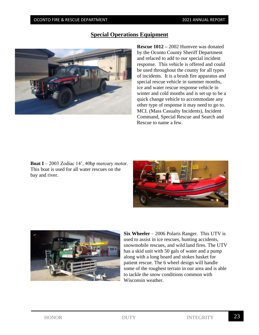#### **Special Operations Equipment**



**Rescue 1012 –** 2002 Humvee was donated by the Oconto County Sheriff Department and refaced to add to our special incident response. This vehicle is offered and could be used throughout the county for all types of incidents. It is a brush fire apparatus and special rescue vehicle in summer months, ice and water rescue response vehicle in winter and cold months and is set up to be a quick change vehicle to accommodate any other type of response it may need to go to. MCI. (Mass Casualty Incidents), Incident Command, Special Rescue and Search and Rescue to name a few.

**Boat I** – 2003 Zodiac 14', 40hp mercury motor. This boat is used for all water rescues on the bay and river.





**Six Wheeler** – 2006 Polaris Ranger. This UTV is used to assist in ice rescues, hunting accidents, snowmobile rescues, and wild land fires. The UTV has a skid unit with 50 gals of water and a pump along with a long board and stokes basket for patient rescue. The 6 wheel design will handle some of the roughest terrain in our area and is able to tackle the snow conditions common with Wisconsin weather.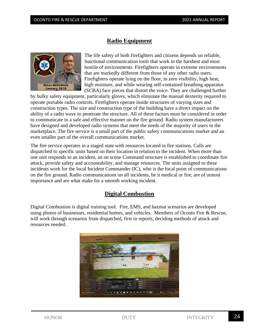#### **Radio Equipment**



The life safety of both firefighters and citizens depends on reliable, functional communication tools that work in the harshest and most hostile of environments. Firefighters operate in extreme environments that are markedly different from those of any other radio users. Firefighters operate lying on the floor, in zero visibility, high heat, high moisture, and while wearing self-contained breathing apparatus (SCBA) face pieces that distort the voice. They are challenged further

by bulky safety equipment, particularly gloves, which eliminate the manual dexterity required to operate portable radio controls. Firefighters operate inside structures of varying sizes and construction types. The size and construction type of the building have a direct impact on the ability of a radio wave to penetrate the structure. All of these factors must be considered in order to communicate in a safe and effective manner on the fire ground. Radio system manufacturers have designed and developed radio systems that meet the needs of the majority of users in the marketplace. The fire service is a small part of the public safety communications market and an even smaller part of the overall communications market.

The fire service operates in a staged state with resources located in fire stations. Calls are dispatched to specific units based on their location in relation to the incident. When more than one unit responds to an incident, an on scene Command structure is established to coordinate fire attack, provide safety and accountability, and manage resources. The units assigned to these incidents work for the local Incident Commander (IC), who is the focal point of communications on the fire ground. Radio communications on all incidents, be it medical or fire, are of utmost importance and are what make for a smooth working incident.

#### **Digital Combustion**

Digital Combustion is digital training tool. Fire, EMS, and hazmat scenarios are developed using photos of businesses, residential homes, and vehicles. Members of Oconto Fire & Rescue, will work through scenarios from dispatched, first in reports, deciding methods of attack and resources needed.

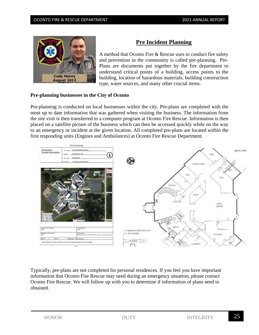

#### **Pre Incident Planning**

A method that Oconto Fire & Rescue uses to conduct fire safety and prevention in the community is called pre-planning. Pre-Plans are documents put together by the fire department to understand critical points of a building, access points to the building, location of hazardous materials, building construction type, water sources, and many other crucial items.

#### **Pre-planning businesses in the City of Oconto**

Pre-planning is conducted on local businesses within the city. Pre-plans are completed with the most up to date information that was gathered when visiting the business. The information from the site visit is then transferred to a computer program at Oconto Fire Rescue. Information is then placed on a satellite picture of the business which can then be accessed quickly while on the way to an emergency or incident at the given location. All completed pre-plans are located within the first responding units (Engines and Ambulances) at Oconto Fire Rescue Department.



Typically, pre-plans are not completed for personal residences. If you feel you have important information that Oconto Fire Rescue may need during an emergency situation, please contact Oconto Fire Rescue. We will follow up with you to determine if information of plans need to obtained.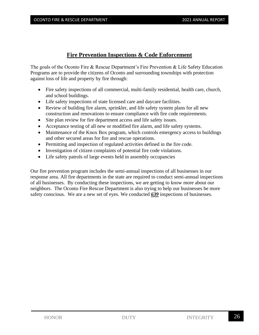#### **Fire Prevention Inspections & Code Enforcement**

The goals of the Oconto Fire & Rescue Department's Fire Prevention & Life Safety Education Programs are to provide the citizens of Oconto and surrounding townships with protection against loss of life and property by fire through:

- Fire safety inspections of all commercial, multi-family residential, health care, church, and school buildings.
- Life safety inspections of state licensed care and daycare facilities.
- Review of building fire alarm, sprinkler, and life safety system plans for all new construction and renovations to ensure compliance with fire code requirements.
- Site plan review for fire department access and life safety issues.
- Acceptance testing of all new or modified fire alarm, and life safety systems.
- Maintenance of the Knox Box program, which controls emergency access to buildings and other secured areas for fire and rescue operations.
- Permitting and inspection of regulated activities defined in the fire code.
- Investigation of citizen complaints of potential fire code violations.
- Life safety patrols of large events held in assembly occupancies

Our fire prevention program includes the semi-annual inspections of all businesses in our response area. All fire departments in the state are required to conduct semi-annual inspections of all businesses. By conducting these inspections, we are getting to know more about our neighbors. The Oconto Fire Rescue Department is also trying to help our businesses be more safety conscious. We are a new set of eyes. We conducted *639* inspections of businesses.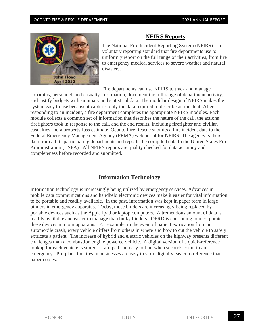

#### **NFIRS Reports**

The National Fire Incident Reporting System (NFIRS) is a voluntary reporting standard that fire departments use to uniformly report on the full range of their activities, from fire to emergency medical services to severe weather and natural disasters.

Fire departments can use NFIRS to track and manage

apparatus, personnel, and casualty information, document the full range of department activity, and justify budgets with summary and statistical data. The modular design of NFIRS makes the system easy to use because it captures only the data required to describe an incident. After responding to an incident, a fire department completes the appropriate NFIRS modules. Each module collects a common set of information that describes the nature of the call, the actions firefighters took in response to the call, and the end results, including firefighter and civilian casualties and a property loss estimate. Oconto Fire Rescue submits all its incident data to the Federal Emergency Management Agency (FEMA) web portal for NFIRS. The agency gathers data from all its participating departments and reports the compiled data to the United States Fire Administration (USFA). All NFIRS reports are quality checked for data accuracy and completeness before recorded and submitted.

#### **Information Technology**

Information technology is increasingly being utilized by emergency services. Advances in mobile data communications and handheld electronic devices make it easier for vital information to be portable and readily available. In the past, information was kept in paper form in large binders in emergency apparatus. Today, those binders are increasingly being replaced by portable devices such as the Apple Ipad or laptop computers. A tremendous amount of data is readily available and easier to manage than bulky binders. OFRD is continuing to incorporate these devices into our apparatus. For example, in the event of patient extrication from an automobile crash, every vehicle differs from others in where and how to cut the vehicle to safely extricate a patient. The increase of hybrid and electric vehicles on the highway presents different challenges than a combustion engine powered vehicle. A digital version of a quick-reference lookup for each vehicle is stored on an Ipad and easy to find when seconds count in an emergency. Pre-plans for fires in businesses are easy to store digitally easier to reference than paper copies.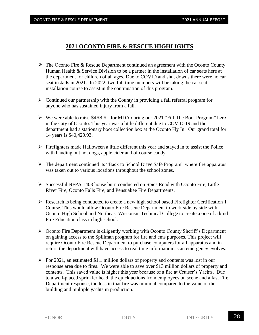#### **2021 OCONTO FIRE & RESCUE HIGHLIGHTS**

- $\triangleright$  The Oconto Fire & Rescue Department continued an agreement with the Oconto County Human Health & Service Division to be a partner in the installation of car seats here at the department for children of all ages. Due to COVID and shut downs there were no car seat installs in 2021. In 2022, two full time members will be taking the car seat installation course to assist in the continuation of this program.
- $\triangleright$  Continued our partnership with the County in providing a fall referral program for anyone who has sustained injury from a fall.
- ➢ We were able to raise \$468.91 for MDA during our 2021 "Fill-The Boot Program" here in the City of Oconto. This year was a little different due to COVID-19 and the department had a stationary boot collection box at the Oconto Fly In. Our grand total for 14 years is \$40,429.93.
- $\triangleright$  Firefighters made Halloween a little different this year and stayed in to assist the Police with handing out hot dogs, apple cider and of course candy.
- ➢ The department continued its "Back to School Drive Safe Program" where fire apparatus was taken out to various locations throughout the school zones.
- $\triangleright$  Successful NFPA 1403 house burn conducted on Spies Road with Oconto Fire, Little River Fire, Oconto Falls Fire, and Pensuakee Fire Departments.
- ➢ Research is being conducted to create a new high school based Firefighter Certification 1 Course. This would allow Oconto Fire Rescue Department to work side by side with Oconto High School and Northeast Wisconsin Technical College to create a one of a kind Fire Education class in high school.
- ➢ Oconto Fire Department is diligently working with Oconto County Sheriff's Department on gaining access to the Spillman program for fire and ems purposes. This project will require Oconto Fire Rescue Department to purchase computers for all apparatus and in return the department will have access to real time information as an emergency evolves.
- $\triangleright$  For 2021, an estimated \$1.1 million dollars of property and contents was lost in our response area due to fires. We were able to save over \$13 million dollars of property and contents. This saved value is higher this year because of a fire at Cruiser's Yachts. Due to a well-placed sprinkler head, the quick actions from employees on scene and a fast Fire Department response, the loss in that fire was minimal compared to the value of the building and multiple yachts in production.